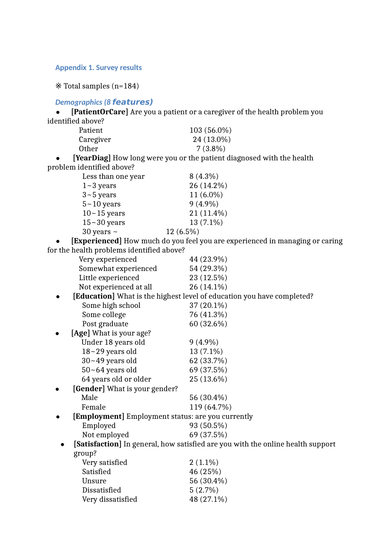#### **Appendix 1. Survey results**

※ Total samples (n=184)

### *Demographics (8* **features)**

 **[PatientOrCare]** Are you a patient or a caregiver of the health problem you identified above?

| Patient      | $103(56.0\%)$ |
|--------------|---------------|
| Caregiver    | 24 (13.0%)    |
| <b>Other</b> | $7(3.8\%)$    |
| ---          |               |

 **[YearDiag]** How long were you or the patient diagnosed with the health problem identified above?

| Less than one year | $8(4.3\%)$  |
|--------------------|-------------|
| $1 - 3$ years      | 26 (14.2%)  |
| $3 - 5$ years      | $11(6.0\%)$ |
| $5 - 10$ years     | $9(4.9\%)$  |
| $10 - 15$ years    | 21 (11.4%)  |
| $15 - 30$ years    | 13 (7.1%)   |
| 30 years $\sim$    | 12 (6.5%)   |
|                    |             |

 **[Experienced]** How much do you feel you are experienced in managing or caring for the health problems identified above?

| '' the nearth problems facilitied above.                 |                                                                                 |
|----------------------------------------------------------|---------------------------------------------------------------------------------|
| Very experienced                                         | 44 (23.9%)                                                                      |
| Somewhat experienced                                     | 54 (29.3%)                                                                      |
| Little experienced                                       | 23 (12.5%)                                                                      |
| Not experienced at all                                   | 26 (14.1%)                                                                      |
|                                                          | [Education] What is the highest level of education you have completed?          |
| Some high school                                         | $37(20.1\%)$                                                                    |
| Some college                                             | 76 (41.3%)                                                                      |
| Post graduate                                            | 60 (32.6%)                                                                      |
| [Age] What is your age?                                  |                                                                                 |
| Under 18 years old                                       | $9(4.9\%)$                                                                      |
| $18 - 29$ years old                                      | $13(7.1\%)$                                                                     |
| $30 - 49$ years old                                      | 62 (33.7%)                                                                      |
| $50 - 64$ years old                                      | 69 (37.5%)                                                                      |
| 64 years old or older                                    | $25(13.6\%)$                                                                    |
| [Gender] What is your gender?                            |                                                                                 |
| Male                                                     | 56 (30.4%)                                                                      |
| Female                                                   | 119 (64.7%)                                                                     |
| <b>[Employment]</b> Employment status: are you currently |                                                                                 |
| Employed                                                 | 93 (50.5%)                                                                      |
| Not employed                                             | 69 (37.5%)                                                                      |
|                                                          | [Satisfaction] In general, how satisfied are you with the online health support |
| group?                                                   |                                                                                 |
| Very satisfied                                           | $2(1.1\%)$                                                                      |
| Satisfied                                                | 46 (25%)                                                                        |
| Unsure                                                   | 56 (30.4%)                                                                      |
| Dissatisfied                                             | $5(2.7\%)$                                                                      |
| Very dissatisfied                                        | 48 (27.1%)                                                                      |
|                                                          |                                                                                 |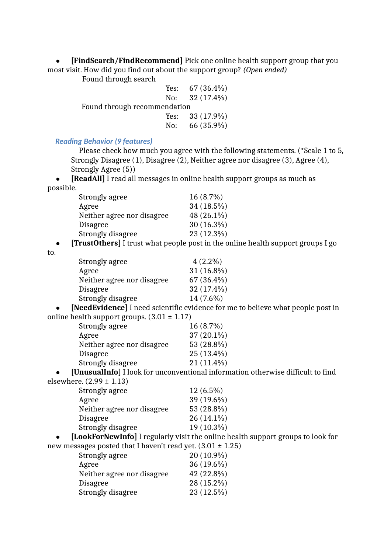**[FindSearch/FindRecommend]** Pick one online health support group that you most visit. How did you find out about the support group? *(Open ended)*

Found through search

|                              |  | Yes: $67(36.4\%)$ |
|------------------------------|--|-------------------|
|                              |  | No: $32(17.4\%)$  |
| Found through recommendation |  |                   |
|                              |  | Yes: $33(17.9\%)$ |
|                              |  | No: $66(35.9\%)$  |

# *Reading Behavior (9 features)*

Please check how much you agree with the following statements. (\*Scale 1 to 5, Strongly Disagree (1), Disagree (2), Neither agree nor disagree (3), Agree (4), Strongly Agree (5))

 **[ReadAll]** I read all messages in online health support groups as much as possible.

| Strongly agree             | $16(8.7\%)$  |
|----------------------------|--------------|
| Agree                      | 34 (18.5%)   |
| Neither agree nor disagree | 48 (26.1%)   |
| <b>Disagree</b>            | $30(16.3\%)$ |
| Strongly disagree          | 23 (12.3%)   |

**[TrustOthers]** I trust what people post in the online health support groups I go

to.

| Strongly agree             | $4(2.2\%)$   |
|----------------------------|--------------|
| Agree                      | $31(16.8\%)$ |
| Neither agree nor disagree | $67(36.4\%)$ |
| <b>Disagree</b>            | 32 (17.4%)   |
| Strongly disagree          | 14 (7.6%)    |
|                            |              |

 **[NeedEvidence]** I need scientific evidence for me to believe what people post in online health support groups.  $(3.01 \pm 1.17)$ 

| Strongly agree             | $16(8.7\%)$  |
|----------------------------|--------------|
| Agree                      | $37(20.1\%)$ |
| Neither agree nor disagree | 53 (28.8%)   |
| <b>Disagree</b>            | $25(13.4\%)$ |
| Strongly disagree          | $21(11.4\%)$ |

 **[UnusualInfo]** I look for unconventional information otherwise difficult to find elsewhere.  $(2.99 \pm 1.13)$ 

| Strongly agree             | $12(6.5\%)$  |
|----------------------------|--------------|
| Agree                      | 39 (19.6%)   |
| Neither agree nor disagree | 53 (28.8%)   |
| <b>Disagree</b>            | $26(14.1\%)$ |
| Strongly disagree          | 19 (10.3%)   |

 **[LookForNewInfo]** I regularly visit the online health support groups to look for new messages posted that I haven't read yet.  $(3.01 \pm 1.25)$ 

| $\log$ godziej posteg that i haven t reag yet. (9.01 ± 1. |            |  |
|-----------------------------------------------------------|------------|--|
| Strongly agree                                            | 20 (10.9%) |  |
| Agree                                                     | 36 (19.6%) |  |
| Neither agree nor disagree                                | 42 (22.8%) |  |
| Disagree                                                  | 28 (15.2%) |  |
| Strongly disagree                                         | 23 (12.5%) |  |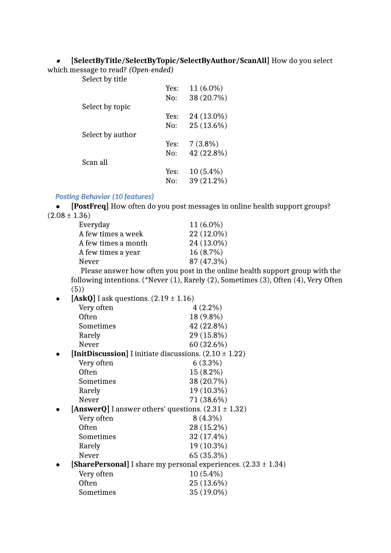#### $\bullet$ **[SelectByTitle/SelectByTopic/SelectByAuthor/ScanAll]** How do you select

which message to read? *(Open-ended)* Select by title

| pelect ny titie  |      |             |
|------------------|------|-------------|
|                  | Yes: | $11(6.0\%)$ |
|                  | No:  | 38 (20.7%)  |
| Select by topic  |      |             |
|                  | Yes: | 24 (13.0%)  |
|                  | No:  | 25 (13.6%)  |
| Select by author |      |             |
|                  | Yes: | $7(3.8\%)$  |
|                  | No:  | 42 (22.8%)  |
| Scan all         |      |             |
|                  | Yes: | $10(5.4\%)$ |
|                  | No:  | 39 (21.2%)  |

#### *Posting Behavior (10 features)*

 **[PostFreq]** How often do you post messages in online health support groups?  $(2.08 \pm 1.36)$ 

| Everyday            | $11(6.0\%)$ |
|---------------------|-------------|
| A few times a week  | 22 (12.0%)  |
| A few times a month | 24 (13.0%)  |
| A few times a year  | 16 (8.7%)   |
| Never               | 87 (47.3%)  |
|                     |             |

 Please answer how often you post in the online health support group with the following intentions. (\*Never (1), Rarely (2), Sometimes (3), Often (4), Very Often (5))

| [AskQ] I ask questions. $(2.19 \pm 1.16)$ |                                                                |
|-------------------------------------------|----------------------------------------------------------------|
| Very often                                | $4(2.2\%)$                                                     |
| <b>Often</b>                              | 18 (9.8%)                                                      |
| Sometimes                                 | 42 (22.8%)                                                     |
| Rarely                                    | 29 (15.8%)                                                     |
| Never                                     | $60(32.6\%)$                                                   |
|                                           | [InitDiscussion] I initiate discussions. $(2.10 \pm 1.22)$     |
| Very often                                | $6(3.3\%)$                                                     |
| Often                                     | $15(8.2\%)$                                                    |
| Sometimes                                 | 38 (20.7%)                                                     |
| Rarely                                    | 19 (10.3%)                                                     |
| Never                                     | 71 (38.6%)                                                     |
|                                           | [AnswerQ] I answer others' questions. $(2.31 \pm 1.32)$        |
| Very often                                | $8(4.3\%)$                                                     |
| <b>Often</b>                              | 28 (15.2%)                                                     |
| Sometimes                                 | 32 (17.4%)                                                     |
| Rarely                                    | 19 (10.3%)                                                     |
| Never                                     | 65 (35.3%)                                                     |
|                                           | [SharePersonal] I share my personal experiences. (2.33 ± 1.34) |
| Very often                                | $10(5.4\%)$                                                    |
| <b>Often</b>                              | 25 (13.6%)                                                     |
| Sometimes                                 | 35 (19.0%)                                                     |
|                                           |                                                                |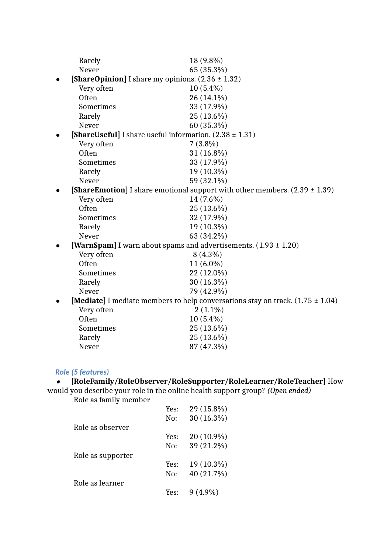| Rarely                                                       | 18 (9.8%)                                                                                 |
|--------------------------------------------------------------|-------------------------------------------------------------------------------------------|
| Never                                                        | 65 (35.3%)                                                                                |
| <b>[ShareOpinion]</b> I share my opinions. $(2.36 \pm 1.32)$ |                                                                                           |
|                                                              | $10(5.4\%)$                                                                               |
| Very often<br>Often                                          |                                                                                           |
|                                                              | 26 (14.1%)                                                                                |
| Sometimes                                                    | 33 (17.9%)                                                                                |
| Rarely                                                       | 25 (13.6%)                                                                                |
| Never                                                        | 60 (35.3%)                                                                                |
| [ShareUseful] I share useful information. $(2.38 \pm 1.31)$  |                                                                                           |
| Very often                                                   | $7(3.8\%)$                                                                                |
| Often                                                        | $31(16.8\%)$                                                                              |
| Sometimes                                                    | 33 (17.9%)                                                                                |
| Rarely                                                       | 19 (10.3%)                                                                                |
| Never                                                        | 59 (32.1%)                                                                                |
|                                                              | <b>[ShareEmotion]</b> I share emotional support with other members. $(2.39 \pm 1.39)$     |
| Very often                                                   | 14 (7.6%)                                                                                 |
| Often                                                        | 25 (13.6%)                                                                                |
| Sometimes                                                    | 32 (17.9%)                                                                                |
| Rarely                                                       | 19 (10.3%)                                                                                |
| Never                                                        | 63 (34.2%)                                                                                |
|                                                              | [WarnSpam] I warn about spams and advertisements. $(1.93 \pm 1.20)$                       |
| Very often                                                   | $8(4.3\%)$                                                                                |
| Often                                                        | $11(6.0\%)$                                                                               |
| Sometimes                                                    | 22 (12.0%)                                                                                |
| Rarely                                                       | 30 (16.3%)                                                                                |
| Never                                                        | 79 (42.9%)                                                                                |
|                                                              | <b>[Mediate]</b> I mediate members to help conversations stay on track. $(1.75 \pm 1.04)$ |
| Very often                                                   | $2(1.1\%)$                                                                                |
| Often                                                        | $10(5.4\%)$                                                                               |
| Sometimes                                                    | 25 (13.6%)                                                                                |
| Rarely                                                       | 25 (13.6%)                                                                                |
| Never                                                        | 87 (47.3%)                                                                                |
|                                                              |                                                                                           |

# *Role (5 features)*

# **[RoleFamily/RoleObserver/RoleSupporter/RoleLearner/RoleTeacher]** How

would you describe your role in the online health support group? *(Open ended)* Role as family member

|                   | Yes: | 29 (15.8%)   |
|-------------------|------|--------------|
|                   | No:  | $30(16.3\%)$ |
| Role as observer  |      |              |
|                   | Yes: | 20 (10.9%)   |
|                   | No:  | 39 (21.2%)   |
| Role as supporter |      |              |
|                   | Yes: | 19 (10.3%)   |
|                   | No:  | 40 (21.7%)   |
| Role as learner   |      |              |
|                   | Yes: | $9(4.9\%)$   |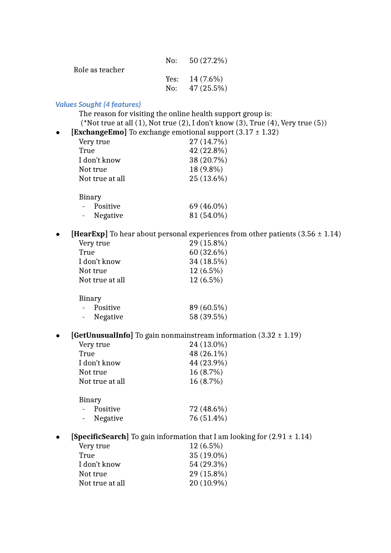| Role as teacher | No: $50(27.2\%)$ |
|-----------------|------------------|
|                 | Yes: $14(7.6\%)$ |
|                 | No: $47(25.5\%)$ |

#### *Values Sought (4 features)*

The reason for visiting the online health support group is: (\*Not true at all  $(1)$ , Not true  $(2)$ , I don't know  $(3)$ , True  $(4)$ , Very true  $(5)$ ) **•** [ExchangeEmo] To exchange emotional support  $(3.17 \pm 1.32)$ 

| Very true       |  | 27 (14.7%) |
|-----------------|--|------------|
| True            |  | 42 (22.8%) |
| I don't know    |  | 38 (20.7%) |
| Not true        |  | 18 (9.8%)  |
| Not true at all |  | 25 (13.6%) |
| Binary          |  |            |
| Positive        |  | 69 (46.0%) |
| Negative        |  | 81 (54.0%) |
|                 |  |            |

**•** [HearExp] To hear about personal experiences from other patients (3.56  $\pm$  1.14)

| Very true       | 29 (15.8%)   |
|-----------------|--------------|
| True            | $60(32.6\%)$ |
| I don't know    | 34 (18.5%)   |
| Not true        | 12 (6.5%)    |
| Not true at all | 12 (6.5%)    |
| Binary          |              |
| Positive        | 89 (60.5%)   |

| Negative | 58 (39.5%) |  |
|----------|------------|--|

**[GetUnusualInfo]** To gain nonmainstream information (3.32 ± 1.19)

| Very true       | 24 (13.0%) |
|-----------------|------------|
| True            | 48 (26.1%) |
| I don't know    | 44 (23.9%) |
| Not true        | 16 (8.7%)  |
| Not true at all | 16 (8.7%)  |
| Binary          |            |
| Positive        | 72 (48.6%) |

|                          | 1. OUILIV C | $1 - 1$ $10.070$ |
|--------------------------|-------------|------------------|
| $\overline{\phantom{0}}$ | Negative    | 76 (51.4%)       |

**•** [SpecificSearch] To gain information that I am looking for  $(2.91 \pm 1.14)$ 

| Very true       | $12(6.5\%)$ |
|-----------------|-------------|
| True            | 35 (19.0%)  |
| I don't know    | 54 (29.3%)  |
| Not true        | 29 (15.8%)  |
| Not true at all | 20 (10.9%)  |
|                 |             |